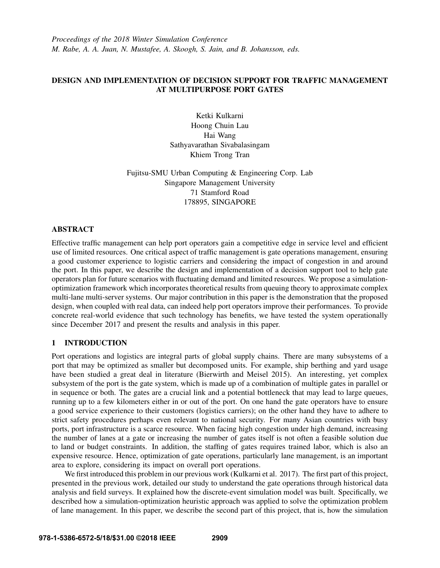*Proceedings of the 2018 Winter Simulation Conference M. Rabe, A. A. Juan, N. Mustafee, A. Skoogh, S. Jain, and B. Johansson, eds.*

## DESIGN AND IMPLEMENTATION OF DECISION SUPPORT FOR TRAFFIC MANAGEMENT AT MULTIPURPOSE PORT GATES

Ketki Kulkarni Hoong Chuin Lau Hai Wang Sathyavarathan Sivabalasingam Khiem Trong Tran

Fujitsu-SMU Urban Computing & Engineering Corp. Lab Singapore Management University 71 Stamford Road 178895, SINGAPORE

### ABSTRACT

Effective traffic management can help port operators gain a competitive edge in service level and efficient use of limited resources. One critical aspect of traffic management is gate operations management, ensuring a good customer experience to logistic carriers and considering the impact of congestion in and around the port. In this paper, we describe the design and implementation of a decision support tool to help gate operators plan for future scenarios with fluctuating demand and limited resources. We propose a simulationoptimization framework which incorporates theoretical results from queuing theory to approximate complex multi-lane multi-server systems. Our major contribution in this paper is the demonstration that the proposed design, when coupled with real data, can indeed help port operators improve their performances. To provide concrete real-world evidence that such technology has benefits, we have tested the system operationally since December 2017 and present the results and analysis in this paper.

## 1 INTRODUCTION

Port operations and logistics are integral parts of global supply chains. There are many subsystems of a port that may be optimized as smaller but decomposed units. For example, ship berthing and yard usage have been studied a great deal in literature (Bierwirth and Meisel 2015). An interesting, yet complex subsystem of the port is the gate system, which is made up of a combination of multiple gates in parallel or in sequence or both. The gates are a crucial link and a potential bottleneck that may lead to large queues, running up to a few kilometers either in or out of the port. On one hand the gate operators have to ensure a good service experience to their customers (logistics carriers); on the other hand they have to adhere to strict safety procedures perhaps even relevant to national security. For many Asian countries with busy ports, port infrastructure is a scarce resource. When facing high congestion under high demand, increasing the number of lanes at a gate or increasing the number of gates itself is not often a feasible solution due to land or budget constraints. In addition, the staffing of gates requires trained labor, which is also an expensive resource. Hence, optimization of gate operations, particularly lane management, is an important area to explore, considering its impact on overall port operations.

We first introduced this problem in our previous work (Kulkarni et al. 2017). The first part of this project, presented in the previous work, detailed our study to understand the gate operations through historical data analysis and field surveys. It explained how the discrete-event simulation model was built. Specifically, we described how a simulation-optimization heuristic approach was applied to solve the optimization problem of lane management. In this paper, we describe the second part of this project, that is, how the simulation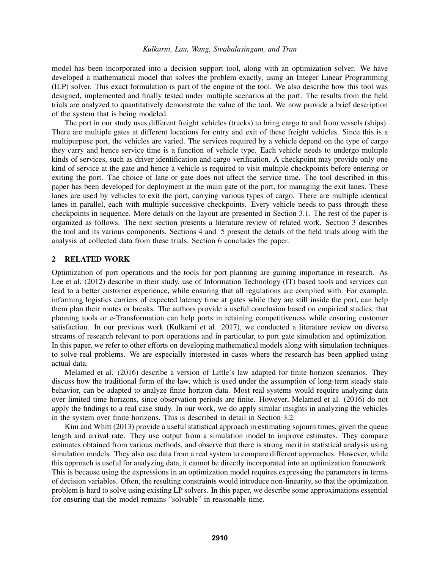model has been incorporated into a decision support tool, along with an optimization solver. We have developed a mathematical model that solves the problem exactly, using an Integer Linear Programming (ILP) solver. This exact formulation is part of the engine of the tool. We also describe how this tool was designed, implemented and finally tested under multiple scenarios at the port. The results from the field trials are analyzed to quantitatively demonstrate the value of the tool. We now provide a brief description of the system that is being modeled.

The port in our study uses different freight vehicles (trucks) to bring cargo to and from vessels (ships). There are multiple gates at different locations for entry and exit of these freight vehicles. Since this is a multipurpose port, the vehicles are varied. The services required by a vehicle depend on the type of cargo they carry and hence service time is a function of vehicle type. Each vehicle needs to undergo multiple kinds of services, such as driver identification and cargo verification. A checkpoint may provide only one kind of service at the gate and hence a vehicle is required to visit multiple checkpoints before entering or exiting the port. The choice of lane or gate does not affect the service time. The tool described in this paper has been developed for deployment at the main gate of the port, for managing the exit lanes. These lanes are used by vehicles to exit the port, carrying various types of cargo. There are multiple identical lanes in parallel, each with multiple successive checkpoints. Every vehicle needs to pass through these checkpoints in sequence. More details on the layout are presented in Section 3.1. The rest of the paper is organized as follows. The next section presents a literature review of related work. Section 3 describes the tool and its various components. Sections 4 and 5 present the details of the field trials along with the analysis of collected data from these trials. Section 6 concludes the paper.

### 2 RELATED WORK

Optimization of port operations and the tools for port planning are gaining importance in research. As Lee et al. (2012) describe in their study, use of Information Technology (IT) based tools and services can lead to a better customer experience, while ensuring that all regulations are complied with. For example, informing logistics carriers of expected latency time at gates while they are still inside the port, can help them plan their routes or breaks. The authors provide a useful conclusion based on empirical studies, that planning tools or e-Transformation can help ports in retaining competitiveness while ensuring customer satisfaction. In our previous work (Kulkarni et al. 2017), we conducted a literature review on diverse streams of research relevant to port operations and in particular, to port gate simulation and optimization. In this paper, we refer to other efforts on developing mathematical models along with simulation techniques to solve real problems. We are especially interested in cases where the research has been applied using actual data.

Melamed et al. (2016) describe a version of Little's law adapted for finite horizon scenarios. They discuss how the traditional form of the law, which is used under the assumption of long-term steady state behavior, can be adapted to analyze finite horizon data. Most real systems would require analyzing data over limited time horizons, since observation periods are finite. However, Melamed et al. (2016) do not apply the findings to a real case study. In our work, we do apply similar insights in analyzing the vehicles in the system over finite horizons. This is described in detail in Section 3.2.

Kim and Whitt (2013) provide a useful statistical approach in estimating sojourn times, given the queue length and arrival rate. They use output from a simulation model to improve estimates. They compare estimates obtained from various methods, and observe that there is strong merit in statistical analysis using simulation models. They also use data from a real system to compare different approaches. However, while this approach is useful for analyzing data, it cannot be directly incorporated into an optimization framework. This is because using the expressions in an optimization model requires expressing the parameters in terms of decision variables. Often, the resulting constraints would introduce non-linearity, so that the optimization problem is hard to solve using existing LP solvers. In this paper, we describe some approximations essential for ensuring that the model remains "solvable" in reasonable time.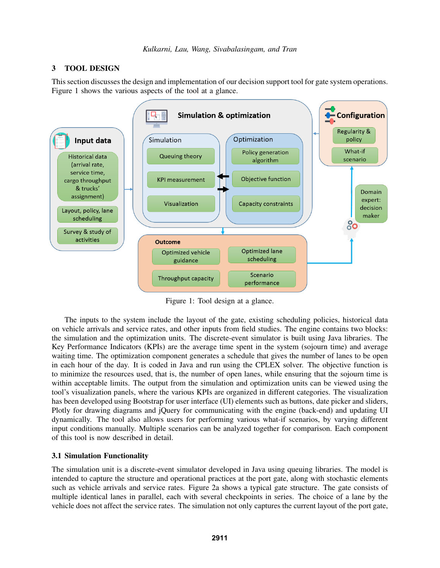## 3 TOOL DESIGN

This section discusses the design and implementation of our decision support tool for gate system operations. Figure 1 shows the various aspects of the tool at a glance.



Figure 1: Tool design at a glance.

The inputs to the system include the layout of the gate, existing scheduling policies, historical data on vehicle arrivals and service rates, and other inputs from field studies. The engine contains two blocks: the simulation and the optimization units. The discrete-event simulator is built using Java libraries. The Key Performance Indicators (KPIs) are the average time spent in the system (sojourn time) and average waiting time. The optimization component generates a schedule that gives the number of lanes to be open in each hour of the day. It is coded in Java and run using the CPLEX solver. The objective function is to minimize the resources used, that is, the number of open lanes, while ensuring that the sojourn time is within acceptable limits. The output from the simulation and optimization units can be viewed using the tool's visualization panels, where the various KPIs are organized in different categories. The visualization has been developed using Bootstrap for user interface (UI) elements such as buttons, date picker and sliders, Plotly for drawing diagrams and jQuery for communicating with the engine (back-end) and updating UI dynamically. The tool also allows users for performing various what-if scenarios, by varying different input conditions manually. Multiple scenarios can be analyzed together for comparison. Each component of this tool is now described in detail.

## 3.1 Simulation Functionality

The simulation unit is a discrete-event simulator developed in Java using queuing libraries. The model is intended to capture the structure and operational practices at the port gate, along with stochastic elements such as vehicle arrivals and service rates. Figure 2a shows a typical gate structure. The gate consists of multiple identical lanes in parallel, each with several checkpoints in series. The choice of a lane by the vehicle does not affect the service rates. The simulation not only captures the current layout of the port gate,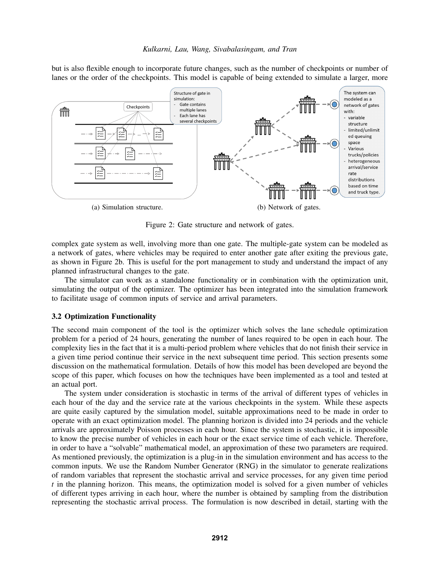but is also flexible enough to incorporate future changes, such as the number of checkpoints or number of lanes or the order of the checkpoints. This model is capable of being extended to simulate a larger, more



Figure 2: Gate structure and network of gates.

complex gate system as well, involving more than one gate. The multiple-gate system can be modeled as a network of gates, where vehicles may be required to enter another gate after exiting the previous gate, as shown in Figure 2b. This is useful for the port management to study and understand the impact of any planned infrastructural changes to the gate.

The simulator can work as a standalone functionality or in combination with the optimization unit, simulating the output of the optimizer. The optimizer has been integrated into the simulation framework to facilitate usage of common inputs of service and arrival parameters.

#### 3.2 Optimization Functionality

The second main component of the tool is the optimizer which solves the lane schedule optimization problem for a period of 24 hours, generating the number of lanes required to be open in each hour. The complexity lies in the fact that it is a multi-period problem where vehicles that do not finish their service in a given time period continue their service in the next subsequent time period. This section presents some discussion on the mathematical formulation. Details of how this model has been developed are beyond the scope of this paper, which focuses on how the techniques have been implemented as a tool and tested at an actual port.

The system under consideration is stochastic in terms of the arrival of different types of vehicles in each hour of the day and the service rate at the various checkpoints in the system. While these aspects are quite easily captured by the simulation model, suitable approximations need to be made in order to operate with an exact optimization model. The planning horizon is divided into 24 periods and the vehicle arrivals are approximately Poisson processes in each hour. Since the system is stochastic, it is impossible to know the precise number of vehicles in each hour or the exact service time of each vehicle. Therefore, in order to have a "solvable" mathematical model, an approximation of these two parameters are required. As mentioned previously, the optimization is a plug-in in the simulation environment and has access to the common inputs. We use the Random Number Generator (RNG) in the simulator to generate realizations of random variables that represent the stochastic arrival and service processes, for any given time period *t* in the planning horizon. This means, the optimization model is solved for a given number of vehicles of different types arriving in each hour, where the number is obtained by sampling from the distribution representing the stochastic arrival process. The formulation is now described in detail, starting with the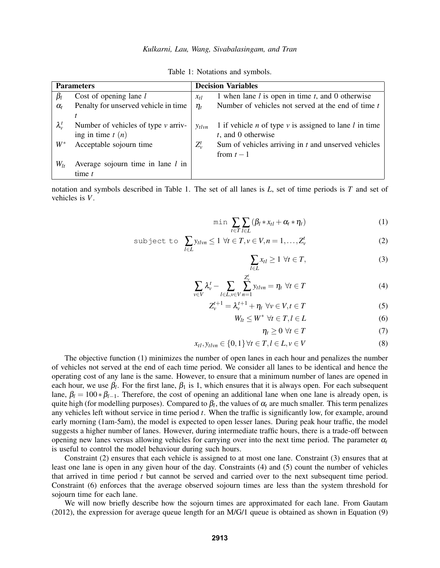| <b>Parameters</b> |                                         | <b>Decision Variables</b>     |                                                                        |  |
|-------------------|-----------------------------------------|-------------------------------|------------------------------------------------------------------------|--|
| $\beta_l$         | Cost of opening lane $l$                | $x_{tl}$                      | 1 when lane $l$ is open in time $t$ , and 0 otherwise                  |  |
| $\alpha_{t}$      | Penalty for unserved vehicle in time    | $\eta_{\scriptscriptstyle t}$ | Number of vehicles not served at the end of time $t$                   |  |
|                   |                                         |                               |                                                                        |  |
| $\lambda_{v}^{t}$ | Number of vehicles of type $\nu$ arriv- | $y_{tlvn}$                    | 1 if vehicle <i>n</i> of type $v$ is assigned to lane <i>l</i> in time |  |
|                   | ing in time $t(n)$                      |                               | $t$ , and 0 otherwise                                                  |  |
| $W^*$             | Acceptable sojourn time                 | $Z_{\nu}^{t}$                 | Sum of vehicles arriving in $t$ and unserved vehicles                  |  |
|                   |                                         |                               | from $t-1$                                                             |  |
| $W_{lt}$          | Average sojourn time in lane $l$ in     |                               |                                                                        |  |
|                   | time $t$                                |                               |                                                                        |  |

Table 1: Notations and symbols.

notation and symbols described in Table 1. The set of all lanes is *L*, set of time periods is *T* and set of vehicles is *V*.

$$
\min \sum_{t \in T} \sum_{l \in L} (\beta_l * x_{tl} + \alpha_t * \eta_t)
$$
 (1)

$$
\text{subject to } \sum_{l \in L} y_{tlvn} \le 1 \ \forall t \in T, v \in V, n = 1, \dots, Z_v^t \tag{2}
$$

$$
\sum_{l \in L} x_{tl} \ge 1 \ \forall t \in T,\tag{3}
$$

$$
\sum_{v \in V} \lambda_v^t - \sum_{l \in L, v \in V} \sum_{n=1}^{Z_v^t} y_{tlvn} = \eta_t \ \forall t \in T \tag{4}
$$

$$
Z_v^{t+1} = \lambda_v^{t+1} + \eta_t \ \forall v \in V, t \in T \tag{5}
$$

$$
W_{lt} \le W^* \,\,\forall t \in T, l \in L \tag{6}
$$

$$
\eta_t \geq 0 \,\,\forall t \in T \tag{7}
$$

$$
x_{tl}, y_{tlvn} \in \{0, 1\} \,\forall t \in T, l \in L, v \in V \tag{8}
$$

The objective function (1) minimizes the number of open lanes in each hour and penalizes the number of vehicles not served at the end of each time period. We consider all lanes to be identical and hence the operating cost of any lane is the same. However, to ensure that a minimum number of lanes are opened in each hour, we use  $\beta_l$ . For the first lane,  $\beta_1$  is 1, which ensures that it is always open. For each subsequent lane,  $\beta_l = 100 * \beta_{l-1}$ . Therefore, the cost of opening an additional lane when one lane is already open, is quite high (for modelling purposes). Compared to  $\beta_l$ , the values of  $\alpha_t$  are much smaller. This term penalizes any vehicles left without service in time period *t*. When the traffic is significantly low, for example, around early morning (1am-5am), the model is expected to open lesser lanes. During peak hour traffic, the model suggests a higher number of lanes. However, during intermediate traffic hours, there is a trade-off between opening new lanes versus allowing vehicles for carrying over into the next time period. The parameter  $\alpha_t$ is useful to control the model behaviour during such hours.

Constraint (2) ensures that each vehicle is assigned to at most one lane. Constraint (3) ensures that at least one lane is open in any given hour of the day. Constraints (4) and (5) count the number of vehicles that arrived in time period *t* but cannot be served and carried over to the next subsequent time period. Constraint (6) enforces that the average observed sojourn times are less than the system threshold for sojourn time for each lane.

We will now briefly describe how the sojourn times are approximated for each lane. From Gautam (2012), the expression for average queue length for an M/G/1 queue is obtained as shown in Equation (9)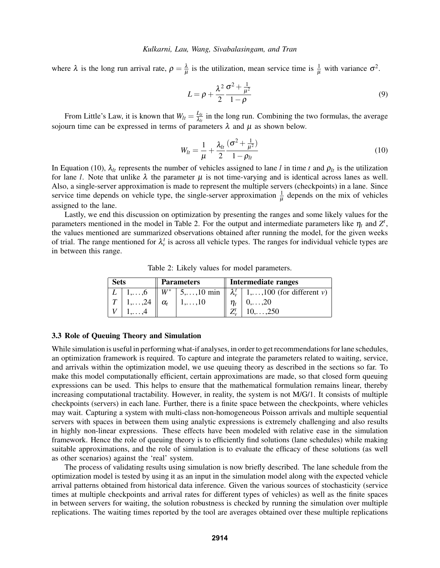where  $\lambda$  is the long run arrival rate,  $\rho = \frac{\lambda}{\mu}$  $\frac{\lambda}{\mu}$  is the utilization, mean service time is  $\frac{1}{\mu}$  with variance  $\sigma^2$ .

$$
L = \rho + \frac{\lambda^2}{2} \frac{\sigma^2 + \frac{1}{\mu^2}}{1 - \rho}
$$
 (9)

From Little's Law, it is known that  $W_{lt} = \frac{L_{lt}}{\lambda_{lt}}$  $\frac{L_{lt}}{\lambda_{lt}}$  in the long run. Combining the two formulas, the average sojourn time can be expressed in terms of parameters  $\lambda$  and  $\mu$  as shown below.

$$
W_{lt} = \frac{1}{\mu} + \frac{\lambda_{lt}}{2} \frac{(\sigma^2 + \frac{1}{\mu^2})}{1 - \rho_{lt}}
$$
(10)

In Equation (10),  $\lambda_{lt}$  represents the number of vehicles assigned to lane *l* in time *t* and  $\rho_{lt}$  is the utilization for lane *l*. Note that unlike  $\lambda$  the parameter  $\mu$  is not time-varying and is identical across lanes as well. Also, a single-server approximation is made to represent the multiple servers (checkpoints) in a lane. Since service time depends on vehicle type, the single-server approximation  $\frac{1}{\mu}$  depends on the mix of vehicles assigned to the lane.

Lastly, we end this discussion on optimization by presenting the ranges and some likely values for the parameters mentioned in the model in Table 2. For the output and intermediate parameters like  $\eta_t$  and  $Z^t$ , the values mentioned are summarized observations obtained after running the model, for the given weeks of trial. The range mentioned for  $\lambda_v^t$  is across all vehicle types. The ranges for individual vehicle types are in between this range.

Table 2: Likely values for model parameters.

| <b>Sets</b> |                                | <b>Parameters</b> |                           | Intermediate ranges |                                                                 |  |
|-------------|--------------------------------|-------------------|---------------------------|---------------------|-----------------------------------------------------------------|--|
|             | $L \mid 1,\ldots,6$            |                   |                           |                     | $W^*$   5,, 10 min    $\lambda_v^t$   1,, 100 (for different v) |  |
|             | 1, $\ldots$ , 24    $\alpha_t$ |                   | $\vert 1,\ldots,10 \vert$ |                     | $  0, \ldots, 20$                                               |  |
|             |                                |                   |                           |                     | $10, \ldots, 250$                                               |  |

### 3.3 Role of Queuing Theory and Simulation

While simulation is useful in performing what-if analyses, in order to get recommendations for lane schedules, an optimization framework is required. To capture and integrate the parameters related to waiting, service, and arrivals within the optimization model, we use queuing theory as described in the sections so far. To make this model computationally efficient, certain approximations are made, so that closed form queuing expressions can be used. This helps to ensure that the mathematical formulation remains linear, thereby increasing computational tractability. However, in reality, the system is not M/G/1. It consists of multiple checkpoints (servers) in each lane. Further, there is a finite space between the checkpoints, where vehicles may wait. Capturing a system with multi-class non-homogeneous Poisson arrivals and multiple sequential servers with spaces in between them using analytic expressions is extremely challenging and also results in highly non-linear expressions. These effects have been modeled with relative ease in the simulation framework. Hence the role of queuing theory is to efficiently find solutions (lane schedules) while making suitable approximations, and the role of simulation is to evaluate the efficacy of these solutions (as well as other scenarios) against the 'real' system.

The process of validating results using simulation is now briefly described. The lane schedule from the optimization model is tested by using it as an input in the simulation model along with the expected vehicle arrival patterns obtained from historical data inference. Given the various sources of stochasticity (service times at multiple checkpoints and arrival rates for different types of vehicles) as well as the finite spaces in between servers for waiting, the solution robustness is checked by running the simulation over multiple replications. The waiting times reported by the tool are averages obtained over these multiple replications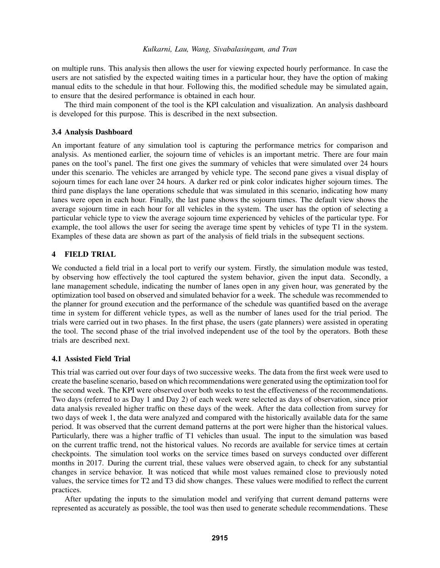on multiple runs. This analysis then allows the user for viewing expected hourly performance. In case the users are not satisfied by the expected waiting times in a particular hour, they have the option of making manual edits to the schedule in that hour. Following this, the modified schedule may be simulated again, to ensure that the desired performance is obtained in each hour.

The third main component of the tool is the KPI calculation and visualization. An analysis dashboard is developed for this purpose. This is described in the next subsection.

### 3.4 Analysis Dashboard

An important feature of any simulation tool is capturing the performance metrics for comparison and analysis. As mentioned earlier, the sojourn time of vehicles is an important metric. There are four main panes on the tool's panel. The first one gives the summary of vehicles that were simulated over 24 hours under this scenario. The vehicles are arranged by vehicle type. The second pane gives a visual display of sojourn times for each lane over 24 hours. A darker red or pink color indicates higher sojourn times. The third pane displays the lane operations schedule that was simulated in this scenario, indicating how many lanes were open in each hour. Finally, the last pane shows the sojourn times. The default view shows the average sojourn time in each hour for all vehicles in the system. The user has the option of selecting a particular vehicle type to view the average sojourn time experienced by vehicles of the particular type. For example, the tool allows the user for seeing the average time spent by vehicles of type T1 in the system. Examples of these data are shown as part of the analysis of field trials in the subsequent sections.

## 4 FIELD TRIAL

We conducted a field trial in a local port to verify our system. Firstly, the simulation module was tested, by observing how effectively the tool captured the system behavior, given the input data. Secondly, a lane management schedule, indicating the number of lanes open in any given hour, was generated by the optimization tool based on observed and simulated behavior for a week. The schedule was recommended to the planner for ground execution and the performance of the schedule was quantified based on the average time in system for different vehicle types, as well as the number of lanes used for the trial period. The trials were carried out in two phases. In the first phase, the users (gate planners) were assisted in operating the tool. The second phase of the trial involved independent use of the tool by the operators. Both these trials are described next.

## 4.1 Assisted Field Trial

This trial was carried out over four days of two successive weeks. The data from the first week were used to create the baseline scenario, based on which recommendations were generated using the optimization tool for the second week. The KPI were observed over both weeks to test the effectiveness of the recommendations. Two days (referred to as Day 1 and Day 2) of each week were selected as days of observation, since prior data analysis revealed higher traffic on these days of the week. After the data collection from survey for two days of week 1, the data were analyzed and compared with the historically available data for the same period. It was observed that the current demand patterns at the port were higher than the historical values. Particularly, there was a higher traffic of T1 vehicles than usual. The input to the simulation was based on the current traffic trend, not the historical values. No records are available for service times at certain checkpoints. The simulation tool works on the service times based on surveys conducted over different months in 2017. During the current trial, these values were observed again, to check for any substantial changes in service behavior. It was noticed that while most values remained close to previously noted values, the service times for T2 and T3 did show changes. These values were modified to reflect the current practices.

After updating the inputs to the simulation model and verifying that current demand patterns were represented as accurately as possible, the tool was then used to generate schedule recommendations. These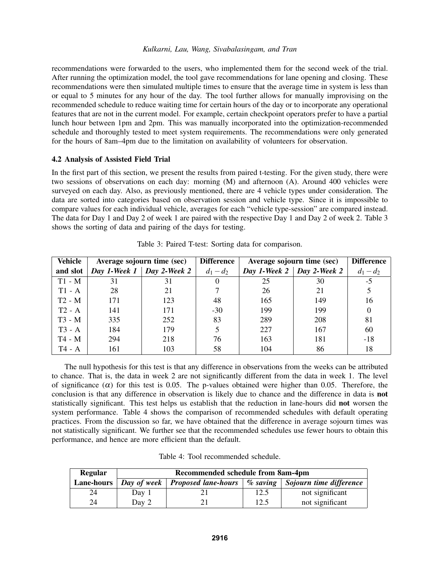recommendations were forwarded to the users, who implemented them for the second week of the trial. After running the optimization model, the tool gave recommendations for lane opening and closing. These recommendations were then simulated multiple times to ensure that the average time in system is less than or equal to 5 minutes for any hour of the day. The tool further allows for manually improvising on the recommended schedule to reduce waiting time for certain hours of the day or to incorporate any operational features that are not in the current model. For example, certain checkpoint operators prefer to have a partial lunch hour between 1pm and 2pm. This was manually incorporated into the optimization-recommended schedule and thoroughly tested to meet system requirements. The recommendations were only generated for the hours of 8am–4pm due to the limitation on availability of volunteers for observation.

### 4.2 Analysis of Assisted Field Trial

In the first part of this section, we present the results from paired t-testing. For the given study, there were two sessions of observations on each day: morning (M) and afternoon (A). Around 400 vehicles were surveyed on each day. Also, as previously mentioned, there are 4 vehicle types under consideration. The data are sorted into categories based on observation session and vehicle type. Since it is impossible to compare values for each individual vehicle, averages for each "vehicle type-session" are compared instead. The data for Day 1 and Day 2 of week 1 are paired with the respective Day 1 and Day 2 of week 2. Table 3 shows the sorting of data and pairing of the days for testing.

| <b>Vehicle</b> | Average sojourn time (sec) |                             | <b>Difference</b> | Average sojourn time (sec) | <b>Difference</b>                |             |
|----------------|----------------------------|-----------------------------|-------------------|----------------------------|----------------------------------|-------------|
| and slot       |                            | Day 1-Week 1   Day 2-Week 2 | $d_1 - d_2$       |                            | Day 1-Week $2 \mid$ Day 2-Week 2 | $d_1 - d_2$ |
| $T1 - M$       | 31                         | 31                          |                   | 25                         | 30                               | $-5$        |
| $T1 - A$       | 28                         | 21                          |                   | 26                         | 21                               |             |
| $T2 - M$       | 171                        | 123                         | 48                | 165                        | 149                              | 16          |
| $T2 - A$       | 141                        | 171                         | $-30$             | 199                        | 199                              | $\Omega$    |
| $T3 - M$       | 335                        | 252                         | 83                | 289                        | 208                              | 81          |
| $T3 - A$       | 184                        | 179                         | 5                 | 227                        | 167                              | 60          |
| $T4 - M$       | 294                        | 218                         | 76                | 163                        | 181                              | $-18$       |
| T4 - A         | 161                        | 103                         | 58                | 104                        | 86                               | 18          |

The null hypothesis for this test is that any difference in observations from the weeks can be attributed to chance. That is, the data in week 2 are not significantly different from the data in week 1. The level of significance  $(\alpha)$  for this test is 0.05. The p-values obtained were higher than 0.05. Therefore, the conclusion is that any difference in observation is likely due to chance and the difference in data is not statistically significant. This test helps us establish that the reduction in lane-hours did not worsen the system performance. Table 4 shows the comparison of recommended schedules with default operating practices. From the discussion so far, we have obtained that the difference in average sojourn times was not statistically significant. We further see that the recommended schedules use fewer hours to obtain this performance, and hence are more efficient than the default.

|  | Table 4: Tool recommended schedule. |
|--|-------------------------------------|
|--|-------------------------------------|

| <b>Regular</b>    | Recommended schedule from 8am-4pm |                                   |             |                         |  |  |
|-------------------|-----------------------------------|-----------------------------------|-------------|-------------------------|--|--|
| <b>Lane-hours</b> |                                   | Day of week   Proposed lane-hours | $\%$ saving | Sojourn time difference |  |  |
| 24                | Day 1                             |                                   | 12.5        | not significant         |  |  |
| 24                | Day 2                             |                                   | 12.5        | not significant         |  |  |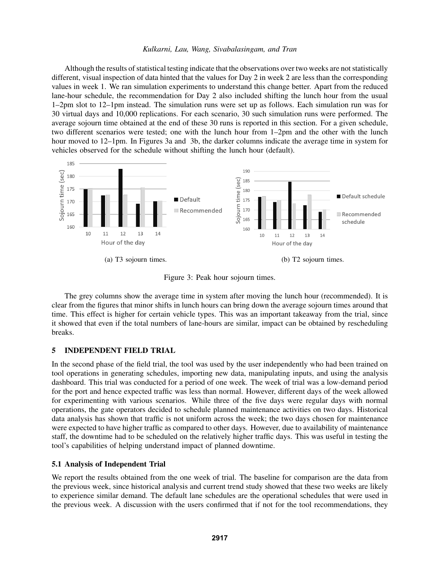Although the results of statistical testing indicate that the observations over two weeks are not statistically different, visual inspection of data hinted that the values for Day 2 in week 2 are less than the corresponding values in week 1. We ran simulation experiments to understand this change better. Apart from the reduced lane-hour schedule, the recommendation for Day 2 also included shifting the lunch hour from the usual 1–2pm slot to 12–1pm instead. The simulation runs were set up as follows. Each simulation run was for 30 virtual days and 10,000 replications. For each scenario, 30 such simulation runs were performed. The average sojourn time obtained at the end of these 30 runs is reported in this section. For a given schedule, two different scenarios were tested; one with the lunch hour from 1–2pm and the other with the lunch hour moved to 12–1pm. In Figures 3a and 3b, the darker columns indicate the average time in system for vehicles observed for the schedule without shifting the lunch hour (default).



Figure 3: Peak hour sojourn times.

The grey columns show the average time in system after moving the lunch hour (recommended). It is clear from the figures that minor shifts in lunch hours can bring down the average sojourn times around that time. This effect is higher for certain vehicle types. This was an important takeaway from the trial, since it showed that even if the total numbers of lane-hours are similar, impact can be obtained by rescheduling breaks.

## 5 INDEPENDENT FIELD TRIAL

In the second phase of the field trial, the tool was used by the user independently who had been trained on tool operations in generating schedules, importing new data, manipulating inputs, and using the analysis dashboard. This trial was conducted for a period of one week. The week of trial was a low-demand period for the port and hence expected traffic was less than normal. However, different days of the week allowed for experimenting with various scenarios. While three of the five days were regular days with normal operations, the gate operators decided to schedule planned maintenance activities on two days. Historical data analysis has shown that traffic is not uniform across the week; the two days chosen for maintenance were expected to have higher traffic as compared to other days. However, due to availability of maintenance staff, the downtime had to be scheduled on the relatively higher traffic days. This was useful in testing the tool's capabilities of helping understand impact of planned downtime.

#### 5.1 Analysis of Independent Trial

We report the results obtained from the one week of trial. The baseline for comparison are the data from the previous week, since historical analysis and current trend study showed that these two weeks are likely to experience similar demand. The default lane schedules are the operational schedules that were used in the previous week. A discussion with the users confirmed that if not for the tool recommendations, they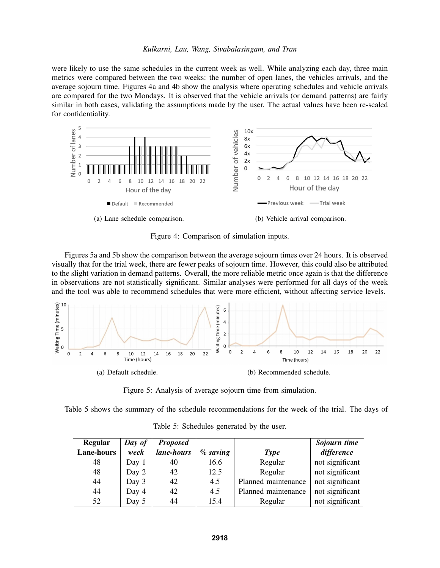were likely to use the same schedules in the current week as well. While analyzing each day, three main metrics were compared between the two weeks: the number of open lanes, the vehicles arrivals, and the average sojourn time. Figures 4a and 4b show the analysis where operating schedules and vehicle arrivals are compared for the two Mondays. It is observed that the vehicle arrivals (or demand patterns) are fairly similar in both cases, validating the assumptions made by the user. The actual values have been re-scaled for confidentiality.



Figure 4: Comparison of simulation inputs.

Figures 5a and 5b show the comparison between the average sojourn times over 24 hours. It is observed visually that for the trial week, there are fewer peaks of sojourn time. However, this could also be attributed to the slight variation in demand patterns. Overall, the more reliable metric once again is that the difference in observations are not statistically significant. Similar analyses were performed for all days of the week and the tool was able to recommend schedules that were more efficient, without affecting service levels.



Figure 5: Analysis of average sojourn time from simulation.

Table 5 shows the summary of the schedule recommendations for the week of the trial. The days of

| <b>Regular</b> | Day of | <b>Proposed</b> |             |                     | Sojourn time    |
|----------------|--------|-----------------|-------------|---------------------|-----------------|
| Lane-hours     | week   | lane-hours      | $\%$ saving | <b>Type</b>         | difference      |
| 48             | Day 1  | 40              | 16.6        | Regular             | not significant |
| 48             | Day 2  | 42              | 12.5        | Regular             | not significant |
| 44             | Day 3  | 42              | 4.5         | Planned maintenance | not significant |
| 44             | Day 4  | 42              | 4.5         | Planned maintenance | not significant |
| 52             | Day 5  | 44              | 15.4        | Regular             | not significant |

Table 5: Schedules generated by the user.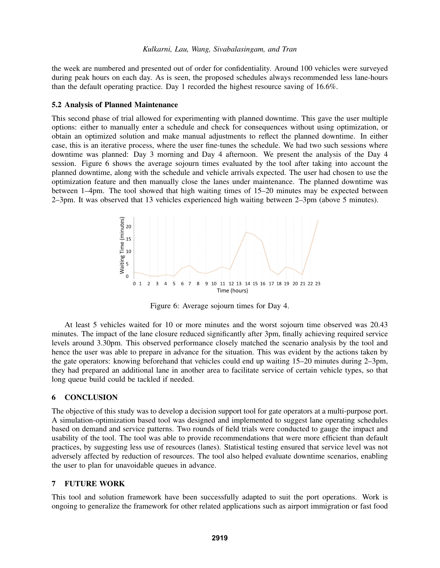the week are numbered and presented out of order for confidentiality. Around 100 vehicles were surveyed during peak hours on each day. As is seen, the proposed schedules always recommended less lane-hours than the default operating practice. Day 1 recorded the highest resource saving of 16.6%.

### 5.2 Analysis of Planned Maintenance

This second phase of trial allowed for experimenting with planned downtime. This gave the user multiple options: either to manually enter a schedule and check for consequences without using optimization, or obtain an optimized solution and make manual adjustments to reflect the planned downtime. In either case, this is an iterative process, where the user fine-tunes the schedule. We had two such sessions where downtime was planned: Day 3 morning and Day 4 afternoon. We present the analysis of the Day 4 session. Figure 6 shows the average sojourn times evaluated by the tool after taking into account the planned downtime, along with the schedule and vehicle arrivals expected. The user had chosen to use the optimization feature and then manually close the lanes under maintenance. The planned downtime was between 1–4pm. The tool showed that high waiting times of 15–20 minutes may be expected between 2–3pm. It was observed that 13 vehicles experienced high waiting between 2–3pm (above 5 minutes).



Figure 6: Average sojourn times for Day 4.

At least 5 vehicles waited for 10 or more minutes and the worst sojourn time observed was 20.43 minutes. The impact of the lane closure reduced significantly after 3pm, finally achieving required service levels around 3.30pm. This observed performance closely matched the scenario analysis by the tool and hence the user was able to prepare in advance for the situation. This was evident by the actions taken by the gate operators: knowing beforehand that vehicles could end up waiting 15–20 minutes during 2–3pm, they had prepared an additional lane in another area to facilitate service of certain vehicle types, so that long queue build could be tackled if needed.

#### 6 CONCLUSION

The objective of this study was to develop a decision support tool for gate operators at a multi-purpose port. A simulation-optimization based tool was designed and implemented to suggest lane operating schedules based on demand and service patterns. Two rounds of field trials were conducted to gauge the impact and usability of the tool. The tool was able to provide recommendations that were more efficient than default practices, by suggesting less use of resources (lanes). Statistical testing ensured that service level was not adversely affected by reduction of resources. The tool also helped evaluate downtime scenarios, enabling the user to plan for unavoidable queues in advance.

## 7 FUTURE WORK

This tool and solution framework have been successfully adapted to suit the port operations. Work is ongoing to generalize the framework for other related applications such as airport immigration or fast food